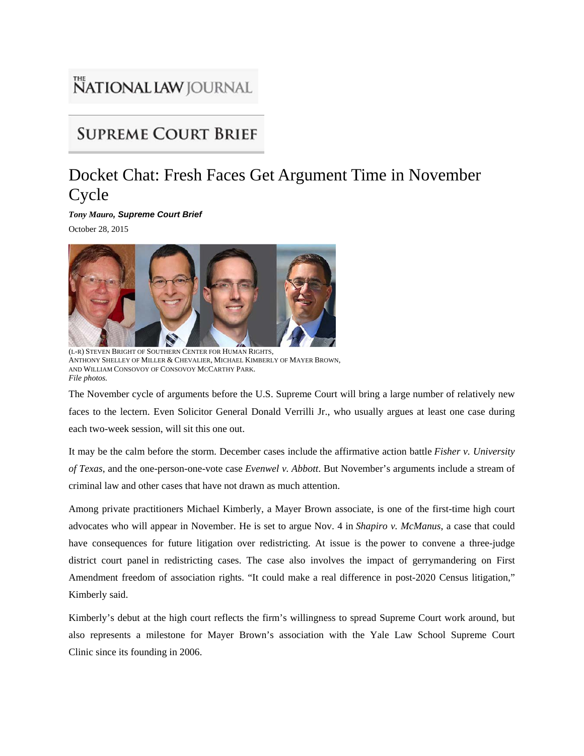## **NATIONAL LAW** JOURNAL

## **SUPREME COURT BRIEF**

## Docket Chat: Fresh Faces Get Argument Time in November Cycle

*Tony Mauro, Supreme Court Brief* October 28, 2015



(L-R) STEVEN BRIGHT OF SOUTHERN CENTER FOR HUMAN RIGHTS, ANTHONY SHELLEY OF MILLER & CHEVALIER, MICHAEL KIMBERLY OF MAYER BROWN, AND WILLIAM CONSOVOY OF CONSOVOY MCCARTHY PARK. *File photos.*

The November cycle of arguments before the U.S. Supreme Court will bring a large number of relatively new faces to the lectern. Even Solicitor General Donald Verrilli Jr., who usually argues at least one case during each two-week session, will sit this one out.

It may be the calm before the storm. December cases include the affirmative action battle *Fisher v. University of Texas*, and the one-person-one-vote case *Evenwel v. Abbott*. But November's arguments include a stream of criminal law and other cases that have not drawn as much attention.

Among private practitioners Michael Kimberly, a Mayer Brown associate, is one of the first-time high court advocates who will appear in November. He is set to argue Nov. 4 in *Shapiro v. McManus*, a case that could have consequences for future litigation over redistricting. At issue is the power to convene a three-judge district court panel in redistricting cases. The case also involves the impact of gerrymandering on First Amendment freedom of association rights. "It could make a real difference in post-2020 Census litigation," Kimberly said.

Kimberly's debut at the high court reflects the firm's willingness to spread Supreme Court work around, but also represents a milestone for Mayer Brown's association with the Yale Law School Supreme Court Clinic since its founding in 2006.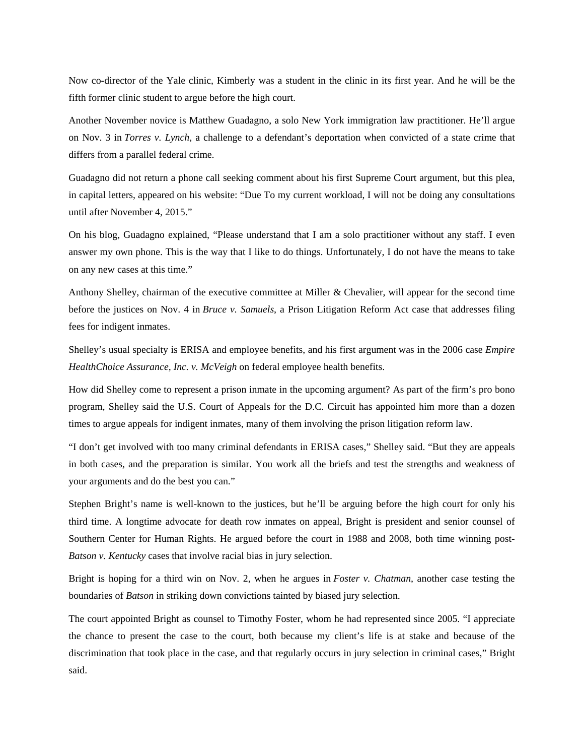Now co-director of the Yale clinic, Kimberly was a student in the clinic in its first year. And he will be the fifth former clinic student to argue before the high court.

Another November novice is Matthew Guadagno, a solo New York immigration law practitioner. He'll argue on Nov. 3 in *Torres v. Lynch*, a challenge to a defendant's deportation when convicted of a state crime that differs from a parallel federal crime.

Guadagno did not return a phone call seeking comment about his first Supreme Court argument, but this plea, in capital letters, appeared on his website: "Due To my current workload, I will not be doing any consultations until after November 4, 2015."

On his blog, Guadagno explained, "Please understand that I am a solo practitioner without any staff. I even answer my own phone. This is the way that I like to do things. Unfortunately, I do not have the means to take on any new cases at this time."

Anthony Shelley, chairman of the executive committee at Miller & Chevalier, will appear for the second time before the justices on Nov. 4 in *Bruce v. Samuels*, a Prison Litigation Reform Act case that addresses filing fees for indigent inmates.

Shelley's usual specialty is ERISA and employee benefits, and his first argument was in the 2006 case *Empire HealthChoice Assurance, Inc. v. McVeigh* on federal employee health benefits.

How did Shelley come to represent a prison inmate in the upcoming argument? As part of the firm's pro bono program, Shelley said the U.S. Court of Appeals for the D.C. Circuit has appointed him more than a dozen times to argue appeals for indigent inmates, many of them involving the prison litigation reform law.

"I don't get involved with too many criminal defendants in ERISA cases," Shelley said. "But they are appeals in both cases, and the preparation is similar. You work all the briefs and test the strengths and weakness of your arguments and do the best you can."

Stephen Bright's name is well-known to the justices, but he'll be arguing before the high court for only his third time. A longtime advocate for death row inmates on appeal, Bright is president and senior counsel of Southern Center for Human Rights. He argued before the court in 1988 and 2008, both time winning post-*Batson v. Kentucky* cases that involve racial bias in jury selection.

Bright is hoping for a third win on Nov. 2, when he argues in *Foster v. Chatman*, another case testing the boundaries of *Batson* in striking down convictions tainted by biased jury selection.

The court appointed Bright as counsel to Timothy Foster, whom he had represented since 2005. "I appreciate the chance to present the case to the court, both because my client's life is at stake and because of the discrimination that took place in the case, and that regularly occurs in jury selection in criminal cases," Bright said.